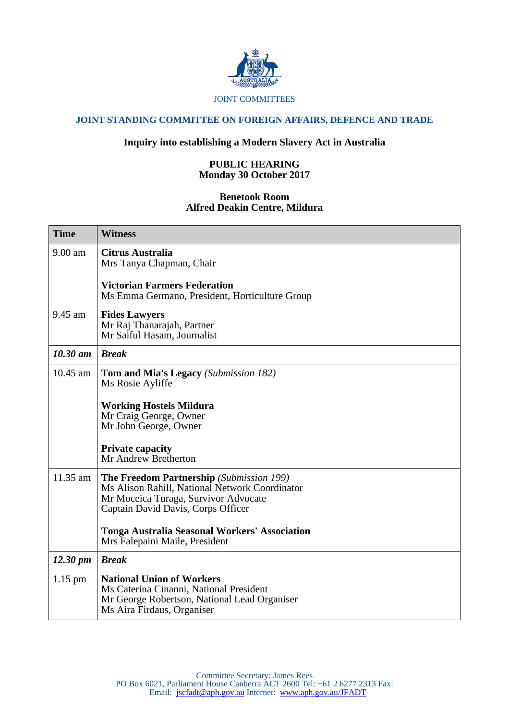

### JOINT COMMITTEES

# **JOINT STANDING COMMITTEE ON FOREIGN AFFAIRS, DEFENCE AND TRADE**

## **Inquiry into establishing a Modern Slavery Act in Australia**

## **PUBLIC HEARING Monday 30 October 2017**

### **Benetook Room Alfred Deakin Centre, Mildura**

| <b>Time</b>          | <b>Witness</b>                                                                                                                                                           |
|----------------------|--------------------------------------------------------------------------------------------------------------------------------------------------------------------------|
| 9.00 am              | <b>Citrus Australia</b><br>Mrs Tanya Chapman, Chair                                                                                                                      |
|                      | <b>Victorian Farmers Federation</b><br>Ms Emma Germano, President, Horticulture Group                                                                                    |
| 9.45 am              | <b>Fides Lawyers</b><br>Mr Raj Thanarajah, Partner<br>Mr Saiful Hasam, Journalist                                                                                        |
| $10.30$ am           | <b>Break</b>                                                                                                                                                             |
| 10.45 am             | <b>Tom and Mia's Legacy</b> (Submission 182)<br>Ms Rosie Ayliffe                                                                                                         |
|                      | <b>Working Hostels Mildura</b><br>Mr Craig George, Owner<br>Mr John George, Owner                                                                                        |
|                      | <b>Private capacity</b><br>Mr Andrew Bretherton                                                                                                                          |
| 11.35 am             | The Freedom Partnership (Submission 199)<br>Ms Alison Rahill, National Network Coordinator<br>Mr Moceica Turaga, Survivor Advocate<br>Captain David Davis, Corps Officer |
|                      | <b>Tonga Australia Seasonal Workers' Association</b><br>Mrs Falepaini Maile, President                                                                                   |
| $12.30 \, \text{pm}$ | <b>Break</b>                                                                                                                                                             |
| $1.15$ pm            | <b>National Union of Workers</b><br>Ms Caterina Cinanni, National President<br>Mr George Robertson, National Lead Organiser<br>Ms Aira Firdaus, Organiser                |